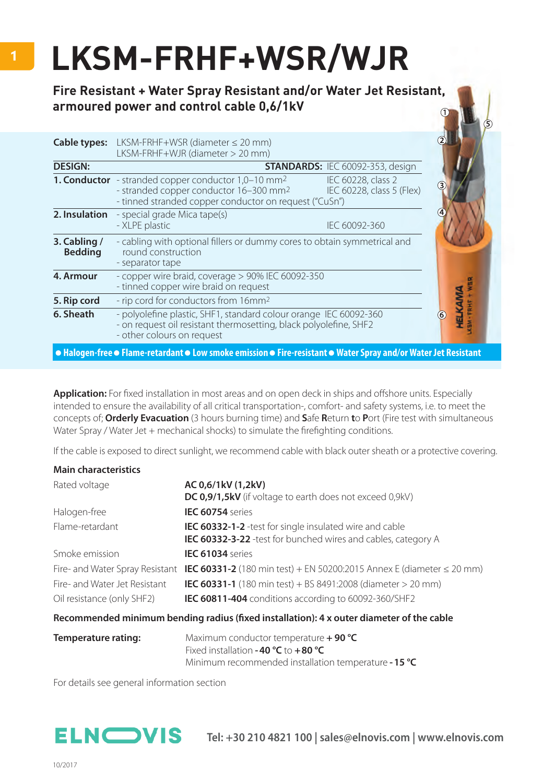## **LKSM-FRHF+WSR/WJR**

**Fire Resistant + Water Spray Resistant and/or Water Jet Resistant, armoured power and control cable 0,6/1kV**

| <b>Cable types:</b>            | LKSM-FRHF+WSR (diameter $\leq$ 20 mm)<br>LKSM-FRHF+WJR (diameter > 20 mm)                                                                                                                                                                   |  |
|--------------------------------|---------------------------------------------------------------------------------------------------------------------------------------------------------------------------------------------------------------------------------------------|--|
| <b>DESIGN:</b>                 | <b>STANDARDS: IEC 60092-353, design</b>                                                                                                                                                                                                     |  |
|                                | <b>1. Conductor</b> - stranded copper conductor $1,0-10$ mm <sup>2</sup><br>IEC 60228, class 2<br>- stranded copper conductor 16-300 mm <sup>2</sup><br>IEC 60228, class 5 (Flex)<br>- tinned stranded copper conductor on request ("CuSn") |  |
| 2. Insulation                  | - special grade Mica tape(s)<br>- XLPE plastic<br>IEC 60092-360                                                                                                                                                                             |  |
| 3. Cabling /<br><b>Bedding</b> | - cabling with optional fillers or dummy cores to obtain symmetrical and<br>round construction<br>- separator tape                                                                                                                          |  |
| 4. Armour                      | - copper wire braid, coverage > 90% IEC 60092-350<br>- tinned copper wire braid on request                                                                                                                                                  |  |
| 5. Rip cord                    | - rip cord for conductors from 16mm <sup>2</sup>                                                                                                                                                                                            |  |
| 6. Sheath                      | - polyolefine plastic, SHF1, standard colour orange IEC 60092-360<br>- on request oil resistant thermosetting, black polyolefine, SHF2<br>- other colours on request                                                                        |  |
|                                | ● Halogen-free ● Flame-retardant ● Low smoke emission ● Fire-resistant ● Water Spray and/or Water Jet Resistant                                                                                                                             |  |

**Application:** For fixed installation in most areas and on open deck in ships and offshore units. Especially intended to ensure the availability of all critical transportation-, comfort- and safety systems, i.e. to meet the concepts of; **Orderly Evacuation** (3 hours burning time) and **S**afe **R**eturn **t**o **P**ort (Fire test with simultaneous Water Spray / Water Jet  $+$  mechanical shocks) to simulate the firefighting conditions.

If the cable is exposed to direct sunlight, we recommend cable with black outer sheath or a protective covering.

| <b>Main characteristics</b>     |                                                                                          |
|---------------------------------|------------------------------------------------------------------------------------------|
| Rated voltage                   | AC 0,6/1kV (1,2kV)                                                                       |
|                                 | DC 0,9/1,5kV (if voltage to earth does not exceed 0,9kV)                                 |
| Halogen-free                    | IEC 60754 series                                                                         |
| Flame-retardant                 | <b>IEC 60332-1-2</b> -test for single insulated wire and cable                           |
|                                 | IEC 60332-3-22 -test for bunched wires and cables, category A                            |
| Smoke emission                  | <b>IEC 61034</b> series                                                                  |
| Fire- and Water Spray Resistant | <b>IEC 60331-2</b> (180 min test) + EN 50200:2015 Annex E (diameter $\leq$ 20 mm)        |
| Fire- and Water Jet Resistant   | <b>IEC 60331-1</b> (180 min test) + BS 8491:2008 (diameter $>$ 20 mm)                    |
| Oil resistance (only SHF2)      | <b>IEC 60811-404</b> conditions according to 60092-360/SHF2                              |
|                                 | Recommended minimum bending radius (fixed installation): 4 x outer diameter of the cable |

|  | <u>necommented minimum bending radius (noca instandaton). To bater diameter or the cap</u> |                                                                                                                 |           |  |
|--|--------------------------------------------------------------------------------------------|-----------------------------------------------------------------------------------------------------------------|-----------|--|
|  |                                                                                            |                                                                                                                 |           |  |
|  |                                                                                            | the contract of the contract of the contract of the contract of the contract of the contract of the contract of | $- - - -$ |  |

| Temperature rating: | Maximum conductor temperature $+$ 90 °C              |
|---------------------|------------------------------------------------------|
|                     | Fixed installation -40 $°C$ to +80 $°C$              |
|                     | Minimum recommended installation temperature - 15 °C |

For details see general information section

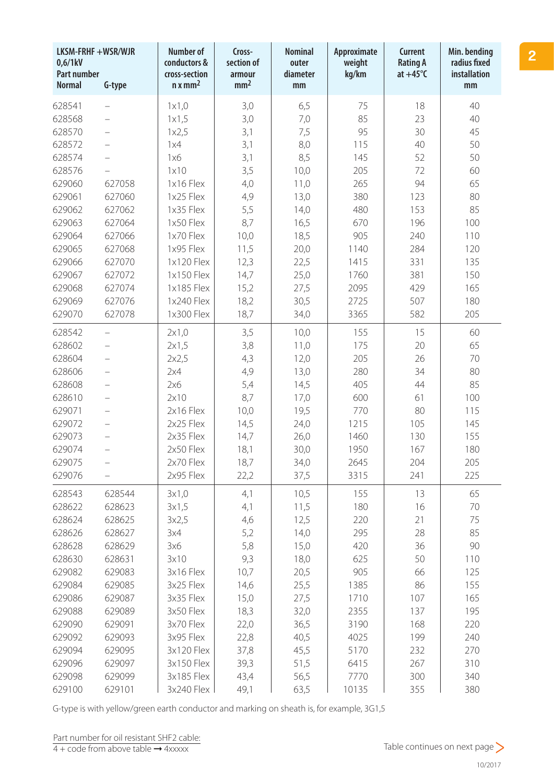| LKSM-FRHF +WSR/WJR<br>0,6/1kV<br><b>Part number</b><br><b>Normal</b> | G-type                   | <b>Number of</b><br>conductors &<br>cross-section<br>$n \times mm^2$ | Cross-<br>section of<br>armour<br>mm <sup>2</sup> | <b>Nominal</b><br>outer<br>diameter<br>mm | Approximate<br>weight<br>kg/km | <b>Current</b><br><b>Rating A</b><br>$at +45^{\circ}C$ | Min. bending<br>radius fixed<br><b>installation</b><br>mm |
|----------------------------------------------------------------------|--------------------------|----------------------------------------------------------------------|---------------------------------------------------|-------------------------------------------|--------------------------------|--------------------------------------------------------|-----------------------------------------------------------|
| 628541                                                               |                          | 1x1,0                                                                | 3,0                                               | 6,5                                       | 75                             | 18                                                     | 40                                                        |
| 628568                                                               | $\overline{\phantom{0}}$ | 1x1,5                                                                | 3,0                                               | 7,0                                       | 85                             | 23                                                     | 40                                                        |
| 628570                                                               | $\overline{\phantom{0}}$ | 1x2,5                                                                | 3,1                                               | 7,5                                       | 95                             | 30                                                     | 45                                                        |
| 628572                                                               |                          | 1x4                                                                  | 3,1                                               | 8,0                                       | 115                            | 40                                                     | 50                                                        |
| 628574                                                               | $\overline{\phantom{0}}$ | 1x6                                                                  | 3,1                                               | 8,5                                       | 145                            | 52                                                     | 50                                                        |
| 628576                                                               |                          | 1x10                                                                 | 3,5                                               | 10,0                                      | 205                            | 72                                                     | 60                                                        |
| 629060                                                               | 627058                   | 1x16 Flex                                                            | 4,0                                               | 11,0                                      | 265                            | 94                                                     | 65                                                        |
| 629061                                                               | 627060                   | 1x25 Flex                                                            | 4,9                                               | 13,0                                      | 380                            | 123                                                    | 80                                                        |
| 629062                                                               | 627062                   | 1x35 Flex                                                            | 5,5                                               | 14,0                                      | 480                            | 153                                                    | 85                                                        |
| 629063                                                               | 627064                   | 1x50 Flex                                                            | 8,7                                               | 16,5                                      | 670                            | 196                                                    | 100                                                       |
| 629064                                                               | 627066                   | 1x70 Flex                                                            | 10,0                                              | 18,5                                      | 905                            | 240                                                    | 110                                                       |
| 629065                                                               | 627068                   | 1x95 Flex                                                            | 11,5                                              | 20,0                                      | 1140                           | 284                                                    | 120                                                       |
| 629066                                                               | 627070                   | 1x120 Flex                                                           | 12,3                                              | 22,5                                      | 1415                           | 331                                                    | 135                                                       |
| 629067                                                               | 627072                   | 1x150 Flex                                                           | 14,7                                              | 25,0                                      | 1760                           | 381                                                    | 150                                                       |
| 629068                                                               | 627074                   | 1x185 Flex                                                           | 15,2                                              | 27,5                                      | 2095                           | 429                                                    | 165                                                       |
| 629069                                                               | 627076                   | 1x240 Flex                                                           | 18,2                                              | 30,5                                      | 2725                           | 507                                                    | 180                                                       |
| 629070                                                               | 627078                   | 1x300 Flex                                                           | 18,7                                              | 34,0                                      | 3365                           | 582                                                    | 205                                                       |
| 628542                                                               | $\overline{\phantom{0}}$ | 2x1,0                                                                | 3,5                                               | 10,0                                      | 155                            | 15                                                     | 60                                                        |
| 628602                                                               | $\overline{\phantom{0}}$ | 2x1,5                                                                | 3,8                                               | 11,0                                      | 175                            | 20                                                     | 65                                                        |
| 628604                                                               |                          | 2x2,5                                                                | 4,3                                               | 12,0                                      | 205                            | 26                                                     | 70                                                        |
| 628606                                                               | $\overline{\phantom{0}}$ | 2x4                                                                  | 4,9                                               | 13,0                                      | 280                            | 34                                                     | 80                                                        |
| 628608                                                               | $\overline{\phantom{0}}$ | 2x6                                                                  | 5,4                                               | 14,5                                      | 405                            | 44                                                     | 85                                                        |
| 628610                                                               | $\overline{\phantom{0}}$ | 2x10                                                                 | 8,7                                               | 17,0                                      | 600                            | 61                                                     | 100                                                       |
| 629071                                                               | $\overline{\phantom{0}}$ | 2x16 Flex                                                            | 10,0                                              | 19,5                                      | 770                            | 80                                                     | 115                                                       |
| 629072                                                               |                          | 2x25 Flex                                                            | 14,5                                              | 24,0                                      | 1215                           | 105                                                    | 145                                                       |
| 629073                                                               |                          | 2x35 Flex                                                            | 14,7                                              | 26,0                                      | 1460                           | 130                                                    | 155                                                       |
| 629074                                                               |                          | 2x50 Flex                                                            | 18,1                                              | 30,0                                      | 1950                           | 167                                                    | 180                                                       |
| 629075                                                               |                          | 2x70 Flex                                                            | 18,7                                              | 34,0                                      | 2645                           | 204                                                    | 205                                                       |
| 629076                                                               |                          | 2x95 Flex                                                            | 22,2                                              | 37,5                                      | 3315                           | 241                                                    | 225                                                       |
| 628543                                                               | 628544                   | 3x1,0                                                                | 4,1                                               | 10,5                                      | 155                            | 13                                                     | 65                                                        |
| 628622                                                               | 628623                   | 3x1,5                                                                | 4,1                                               | 11,5                                      | 180                            | 16                                                     | 70                                                        |
| 628624                                                               | 628625                   | 3x2,5                                                                | 4,6                                               | 12,5                                      | 220                            | 21                                                     | 75                                                        |
| 628626                                                               | 628627                   | 3x4                                                                  | 5,2                                               | 14,0                                      | 295                            | 28                                                     | 85                                                        |
| 628628                                                               | 628629                   | 3x6                                                                  | 5,8                                               | 15,0                                      | 420                            | 36                                                     | 90                                                        |
| 628630                                                               | 628631                   | 3x10                                                                 | 9,3                                               | 18,0                                      | 625                            | 50                                                     | 110                                                       |
| 629082                                                               | 629083                   | 3x16 Flex                                                            | 10,7                                              | 20,5                                      | 905                            | 66                                                     | 125                                                       |
| 629084                                                               | 629085                   | 3x25 Flex                                                            | 14,6                                              | 25,5                                      | 1385                           | 86                                                     | 155                                                       |
| 629086                                                               | 629087                   | 3x35 Flex                                                            | 15,0                                              | 27,5                                      | 1710                           | 107                                                    | 165                                                       |
| 629088                                                               | 629089                   | 3x50 Flex                                                            | 18,3                                              | 32,0                                      | 2355                           | 137                                                    | 195                                                       |
| 629090                                                               | 629091                   | 3x70 Flex                                                            | 22,0                                              | 36,5                                      | 3190                           | 168                                                    | 220                                                       |
| 629092                                                               | 629093                   | 3x95 Flex                                                            | 22,8                                              | 40,5                                      | 4025                           | 199                                                    | 240                                                       |
| 629094                                                               | 629095                   | 3x120 Flex                                                           | 37,8                                              | 45,5                                      | 5170                           | 232                                                    | 270                                                       |
| 629096                                                               | 629097                   | 3x150 Flex                                                           | 39,3                                              | 51,5                                      | 6415                           | 267                                                    | 310                                                       |
| 629098                                                               | 629099                   | 3x185 Flex                                                           | 43,4                                              | 56,5                                      | 7770                           | 300                                                    | 340                                                       |
| 629100                                                               | 629101                   | 3x240 Flex                                                           | 49,1                                              | 63,5                                      | 10135                          | 355                                                    | 380                                                       |

G-type is with yellow/green earth conductor and marking on sheath is, for example, 3G1,5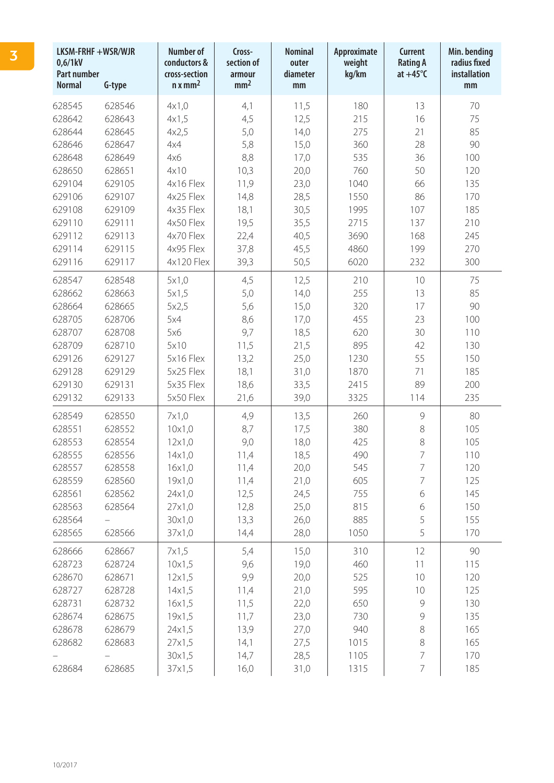| LKSM-FRHF +WSR/WJR<br>0,6/1kV<br><b>Part number</b><br><b>Normal</b><br>G-type |        | <b>Number of</b><br>conductors &<br>cross-section<br>$n x$ mm <sup>2</sup> | Cross-<br>section of<br>armour<br>mm <sup>2</sup> | <b>Nominal</b><br>outer<br>diameter<br>mm | Approximate<br>weight<br>kg/km | Current<br><b>Rating A</b><br>at $+45^{\circ}$ C | Min. bending<br>radius fixed<br>installation<br>mm |
|--------------------------------------------------------------------------------|--------|----------------------------------------------------------------------------|---------------------------------------------------|-------------------------------------------|--------------------------------|--------------------------------------------------|----------------------------------------------------|
| 628545                                                                         | 628546 | 4x1,0                                                                      | 4,1                                               | 11,5                                      | 180                            | 13                                               | 70                                                 |
| 628642                                                                         | 628643 | 4x1,5                                                                      | 4,5                                               | 12,5                                      | 215                            | 16                                               | 75                                                 |
| 628644                                                                         | 628645 | 4x2,5                                                                      | 5,0                                               | 14,0                                      | 275                            | 21                                               | 85                                                 |
| 628646                                                                         | 628647 | 4x4                                                                        | 5,8                                               | 15,0                                      | 360                            | 28                                               | 90                                                 |
| 628648                                                                         | 628649 | 4x6                                                                        | 8,8                                               | 17,0                                      | 535                            | 36                                               | 100                                                |
| 628650                                                                         | 628651 | 4x10                                                                       | 10,3                                              | 20,0                                      | 760                            | 50                                               | 120                                                |
| 629104                                                                         | 629105 | 4x16 Flex                                                                  | 11,9                                              | 23,0                                      | 1040                           | 66                                               | 135                                                |
| 629106                                                                         | 629107 | 4x25 Flex                                                                  | 14,8                                              | 28,5                                      | 1550                           | 86                                               | 170                                                |
| 629108                                                                         | 629109 | 4x35 Flex                                                                  | 18,1                                              | 30,5                                      | 1995                           | 107                                              | 185                                                |
| 629110                                                                         | 629111 | 4x50 Flex                                                                  | 19,5                                              | 35,5                                      | 2715                           | 137                                              | 210                                                |
| 629112                                                                         | 629113 | 4x70 Flex                                                                  | 22,4                                              | 40,5                                      | 3690                           | 168                                              | 245                                                |
| 629114                                                                         | 629115 | 4x95 Flex                                                                  | 37,8                                              | 45,5                                      | 4860                           | 199                                              | 270                                                |
| 629116                                                                         | 629117 | 4x120 Flex                                                                 | 39,3                                              | 50,5                                      | 6020                           | 232                                              | 300                                                |
| 628547                                                                         | 628548 | 5x1,0                                                                      | 4,5                                               | 12,5                                      | 210                            | 10                                               | 75                                                 |
| 628662                                                                         | 628663 | 5x1,5                                                                      | 5,0                                               | 14,0                                      | 255                            | 13                                               | 85                                                 |
| 628664                                                                         | 628665 | 5x2,5                                                                      | 5,6                                               | 15,0                                      | 320                            | 17                                               | 90                                                 |
| 628705                                                                         | 628706 | 5x4                                                                        | 8,6                                               | 17,0                                      | 455                            | 23                                               | 100                                                |
| 628707                                                                         | 628708 | 5x6                                                                        | 9,7                                               | 18,5                                      | 620                            | 30                                               | 110                                                |
| 628709                                                                         | 628710 | 5x10                                                                       | 11,5                                              | 21,5                                      | 895                            | 42                                               | 130                                                |
| 629126                                                                         | 629127 | 5x16 Flex                                                                  | 13,2                                              | 25,0                                      | 1230                           | 55                                               | 150                                                |
| 629128                                                                         | 629129 | 5x25 Flex                                                                  | 18,1                                              | 31,0                                      | 1870                           | 71                                               | 185                                                |
| 629130                                                                         | 629131 | 5x35 Flex                                                                  | 18,6                                              | 33,5                                      | 2415                           | 89                                               | 200                                                |
| 629132                                                                         | 629133 | 5x50 Flex                                                                  | 21,6                                              | 39,0                                      | 3325                           | 114                                              | 235                                                |
| 628549                                                                         | 628550 | 7x1,0                                                                      | 4,9                                               | 13,5                                      | 260                            | 9                                                | 80                                                 |
| 628551                                                                         | 628552 | 10x1,0                                                                     | 8,7                                               | 17,5                                      | 380                            | 8                                                | 105                                                |
| 628553                                                                         | 628554 | 12x1,0                                                                     | 9,0                                               | 18,0                                      | 425                            | 8                                                | 105                                                |
| 628555                                                                         | 628556 | 14x1,0                                                                     | 11,4                                              | 18,5                                      | 490                            | 7                                                | 110                                                |
| 628557                                                                         | 628558 | 16x1,0                                                                     | 11,4                                              | 20,0                                      | 545                            | 7                                                | 120                                                |
| 628559                                                                         | 628560 | 19x1,0                                                                     | 11,4                                              | 21,0                                      | 605                            | 7                                                | 125                                                |
| 628561                                                                         | 628562 | 24x1,0                                                                     | 12,5                                              | 24,5                                      | 755                            | 6                                                | 145                                                |
| 628563                                                                         | 628564 | 27x1,0                                                                     | 12,8                                              | 25,0                                      | 815                            | 6                                                | 150                                                |
| 628564                                                                         |        | 30x1,0                                                                     | 13,3                                              | 26,0                                      | 885                            | 5                                                | 155                                                |
| 628565                                                                         | 628566 | 37x1,0                                                                     | 14,4                                              | 28,0                                      | 1050                           | 5                                                | 170                                                |
| 628666                                                                         | 628667 | 7x1,5                                                                      | 5,4                                               | 15,0                                      | 310                            | 12                                               | 90                                                 |
| 628723                                                                         | 628724 | 10x1,5                                                                     | 9,6                                               | 19,0                                      | 460                            | 11                                               | 115                                                |
| 628670                                                                         | 628671 | 12x1,5                                                                     | 9,9                                               | 20,0                                      | 525                            | 10                                               | 120                                                |
| 628727                                                                         | 628728 | 14x1,5                                                                     | 11,4                                              | 21,0                                      | 595                            | 10                                               | 125                                                |
| 628731                                                                         | 628732 | 16x1,5                                                                     | 11,5                                              | 22,0                                      | 650                            | $\mathcal{G}$                                    | 130                                                |
| 628674                                                                         | 628675 | 19x1,5                                                                     | 11,7                                              | 23,0                                      | 730                            | $\mathcal{G}$                                    | 135                                                |
| 628678                                                                         | 628679 | 24x1,5                                                                     | 13,9                                              | 27,0                                      | 940                            | 8                                                | 165                                                |
| 628682                                                                         | 628683 | 27x1,5                                                                     | 14,1                                              | 27,5                                      | 1015                           | 8                                                | 165                                                |
|                                                                                |        | 30x1,5                                                                     | 14,7                                              | 28,5                                      | 1105                           | 7                                                | 170                                                |
| 628684                                                                         | 628685 | 37x1,5                                                                     | 16,0                                              | 31,0                                      | 1315                           | 7                                                | 185                                                |